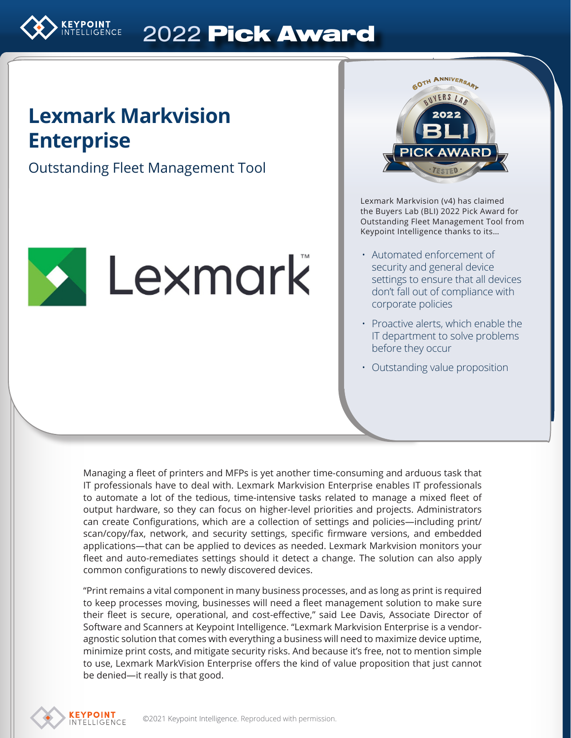

# 2022 Pick Award

# **Lexmark Markvision Enterprise**

Outstanding Fleet Management Tool





Lexmark Markvision (v4) has claimed the Buyers Lab (BLI) 2022 Pick Award for Outstanding Fleet Management Tool from Keypoint Intelligence thanks to its…

- Automated enforcement of security and general device settings to ensure that all devices don't fall out of compliance with corporate policies
- Proactive alerts, which enable the IT department to solve problems before they occur
- Outstanding value proposition

Managing a fleet of printers and MFPs is yet another time-consuming and arduous task that IT professionals have to deal with. Lexmark Markvision Enterprise enables IT professionals to automate a lot of the tedious, time-intensive tasks related to manage a mixed fleet of output hardware, so they can focus on higher-level priorities and projects. Administrators can create Configurations, which are a collection of settings and policies—including print/ scan/copy/fax, network, and security settings, specific firmware versions, and embedded applications—that can be applied to devices as needed. Lexmark Markvision monitors your fleet and auto-remediates settings should it detect a change. The solution can also apply common configurations to newly discovered devices.

"Print remains a vital component in many business processes, and as long as print is required to keep processes moving, businesses will need a fleet management solution to make sure their fleet is secure, operational, and cost-effective," said Lee Davis, Associate Director of Software and Scanners at Keypoint Intelligence. "Lexmark Markvision Enterprise is a vendoragnostic solution that comes with everything a business will need to maximize device uptime, minimize print costs, and mitigate security risks. And because it's free, not to mention simple to use, Lexmark MarkVision Enterprise offers the kind of value proposition that just cannot be denied—it really is that good.